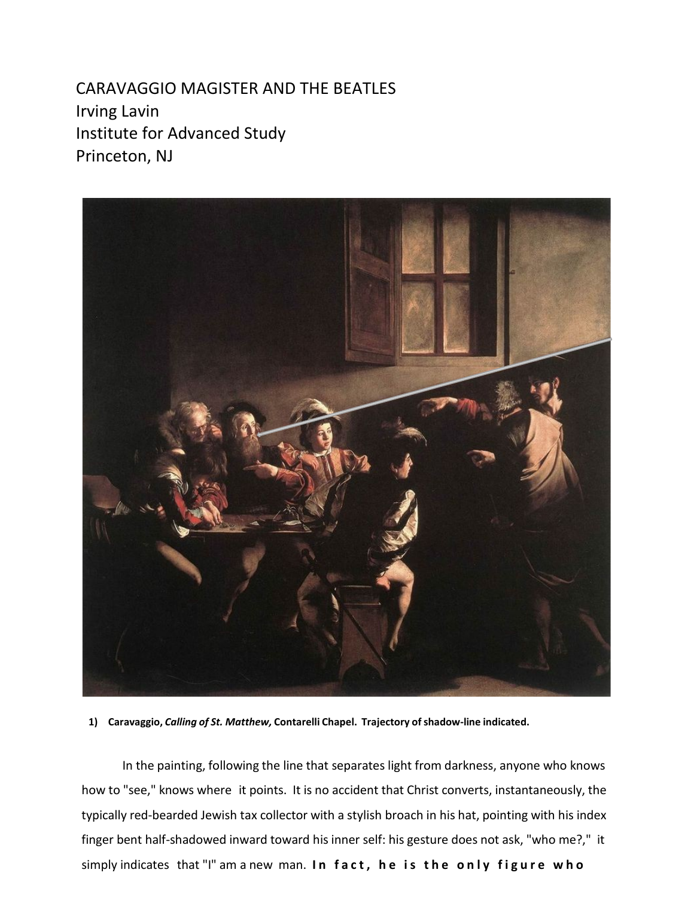CARAVAGGIO MAGISTER AND THE BEATLES Irving Lavin Institute for Advanced Study Princeton, NJ



**1) Caravaggio,** *Calling of St. Matthew,* **Contarelli Chapel. Trajectory ofshadow-line indicated.**

In the painting, following the line that separates light from darkness, anyone who knows how to "see," knows where it points. It is no accident that Christ converts, instantaneously, the typically red-bearded Jewish tax collector with a stylish broach in his hat, pointing with his index finger bent half-shadowed inward toward his inner self: his gesture does not ask, "who me?," it simply indicates that "I" am a new man. **In fact, he is the only figure who**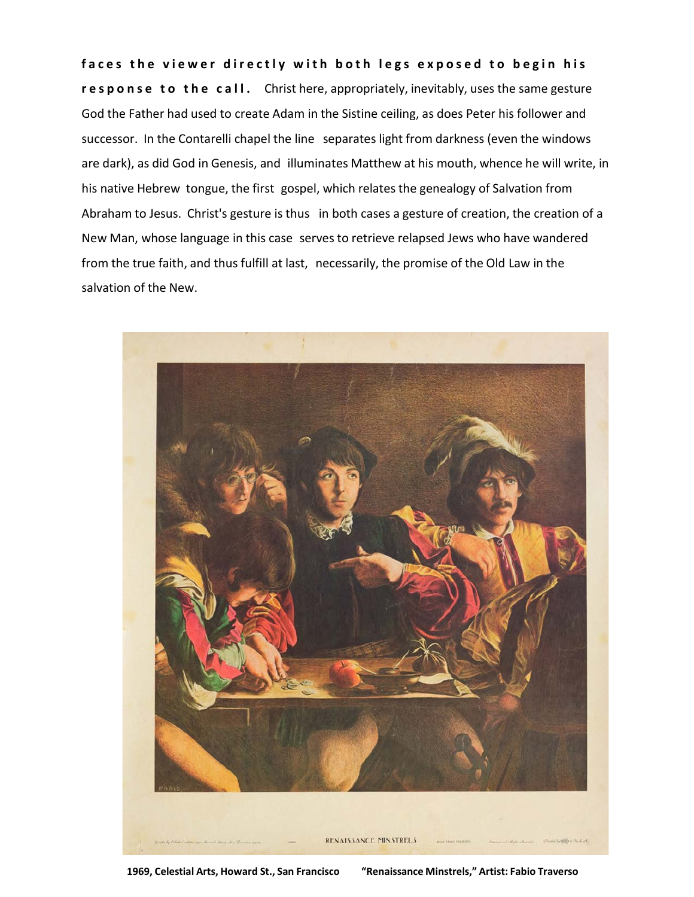**faces the viewer directly with both legs exposed to begin his response to the call.** Christ here, appropriately, inevitably, uses the same gesture God the Father had used to create Adam in the Sistine ceiling, as does Peter his follower and successor. In the Contarelli chapel the line separates light from darkness (even the windows are dark), as did God in Genesis, and illuminates Matthew at his mouth, whence he will write, in his native Hebrew tongue, the first gospel, which relates the genealogy of Salvation from Abraham to Jesus. Christ's gesture is thus in both cases a gesture of creation, the creation of a New Man, whose language in this case serves to retrieve relapsed Jews who have wandered from the true faith, and thus fulfill at last, necessarily, the promise of the Old Law in the salvation of the New.



**1969, Celestial Arts, Howard St., San Francisco "Renaissance Minstrels," Artist: Fabio Traverso**